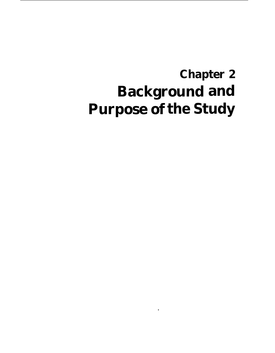# **Chapter 2 Background and Purpose of the Study**

\*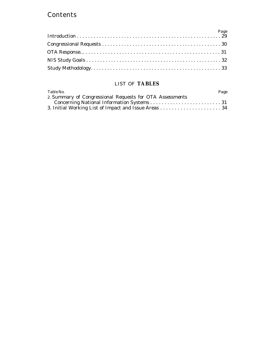#### **Contents**

#### LIST OF **TABLES**

| Table No.                                                | Page |
|----------------------------------------------------------|------|
| 2. Summary of Congressional Requests for OTA Assessments |      |
|                                                          |      |
|                                                          |      |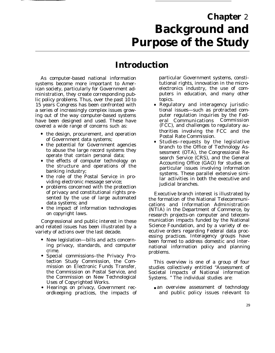## **Chapter** 2 **Background and Purpose of the Study**

### **Introduction**

As computer-based national information systems become more important to American society, particularly for Government administration, they create corresponding public policy problems. Thus, over the past 10 to 15 years Congress has been confronted with a series of increasingly complex issues growing out of the way computer-based systems have been designed and used. These have covered a wide range of concerns such as:

- the design, procurement, and operation of Government data systems;
- the potential for Government agencies to abuse the large record systems they operate that contain personal data;
- the effects of computer technology on the structure and operations of the banking industry;
- the role of the Postal Service in providing electronic message service;
- problems concerned with the protection of privacy and constitutional rights presented by the use of large automated data systems; and
- the impact of information technologies on copyright laws.

Congressional and public interest in these and related issues has been illustrated by a variety of actions over the last decade.

- New legislation—bills and acts concerning privacy, standards, and computer crime.
- Special commissions–the Privacy Protection Study Commission, the Commission on Electronic Funds Transfer, the Commission on Postal Service, and the Commission on New Technological Uses of Copyrighted Works.
- Hearings on privacy, Government recordkeeping practices, the impacts of

particular Government systems, constitutional rights, innovation in the microelectronics industry, the use of computers in education, and many other topics.

- Regulatory and interagency jurisdictional issues—such as protracted computer regulation inquiries by the Federal Communications Commission (FCC), and challenges to regulatory authorities involving the FCC and the Postal Rate Commission.
- Studies–requests by the legislative branch to the Office of Technology Assessment (OTA), the Congressional Research Service (CRS), and the General Accounting Office (GAO) for studies on particular issues involving information systems. These parallel extensive similar activities in both the executive and judicial branches.

Executive branch interest is illustrated by the formation of the National Telecommunications and Information Administration (NTIA) in the Department of Commerce, by research projects-on computer and telecommunication impacts funded by the National Science Foundation, and by a variety of executive orders regarding Federal data processing practices. Interagency groups have been formed to address domestic and international information policy and planning problems.

This overview is one of a group of four studies collectively entitled "Assessment of Societal Impacts of National information Systems. " The individual studies are:

• an overview assessment of technology and public policy issues relevant to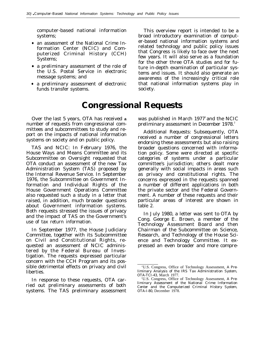computer-based national information systems;

- an assessment of the National Crime Information Center (NCIC) and Computerized Criminal History (CCH) Systems;
- a preliminary assessment of the role of the U.S. Postal Service in electronic message systems; and
- a preliminary assessment of electronic funds transfer systems. Society.

This overview report is intended to be a broad introductory examination of computer-based national information systems and related technology and public policy issues that Congress is likely to face over the next few years. It will also serve as a foundation for the other three OTA studies and for future in-depth examination of particular systems and issues. It should also generate an awareness of the increasingly critical role that national information systems play in

### **Congressional Requests**

Over the last 5 years, OTA has received **a** number of requests from congressional committees and subcommittees to study and report on the impacts of national information systems on society and on public policy.

TAS and NCIC: In February 1976, the House Ways and Means Committee and its Subcommittee on Oversight requested that OTA conduct an assessment of the new Tax Administration System (TAS) proposed by the Internal Revenue Service. In September 1976, the Subcommittee on Government Information and Individual Rights of the House Government Operations Committee also requested such a study in a letter that raised, in addition, much broader questions about Government information systems. Both requests stressed the issues of privacy and the impact of TAS on the Government's use of tax return information.

In September 1977, the House Judiciary Committee, together with its Subcommittee on Civil and Constitutional Rights, requested an assessment of NCIC administered by the Federal Bureau of Investigation. The requests expressed particular concern with the CCH Program and its possible detrimental effects on privacy and civil liberties.

In response to these requests, OTA carried out preliminary assessments of both systems. The TAS preliminary assessment was published in March  $1977^{\circ}$  and the NCIC preliminary assessment in December 1978.<sup>2</sup>

Additional Requests: Subsequently, OTA received a number of congressional letters endorsing these assessments but also raising broader questions concerned with information policy. Some were directed at specific categories of systems under a particular committee's jurisdiction; others dealt more generally with social impacts in areas such as privacy and constitutional rights. The concerns expressed in the requests spanned a number of different applications in both the private sector and the Federal Government. A number of these requests and their particular areas of interest are shown in table 2.

In July 1980, a letter was sent to OTA by Cong. George E. Brown, a member of the Technology Assessment Board and then Chairman of the Subcommittee on Science, Research, and Technology of the House Science and Technology Committee. It expressed an even broader and more compre-

<sup>&#</sup>x27;U.S. Congress, Office of Technology Assessment, *A Preliminary Analysis of the IRS Tax Administration System, OTA-TCI-43,* March 1977.

<sup>&#</sup>x27;U.S. Congress, Office of Technology Assessment, *A Preliminary Assessment of the National Crime Information Center and the Computerized Criminal History System, OTA-I-80,* December 1978.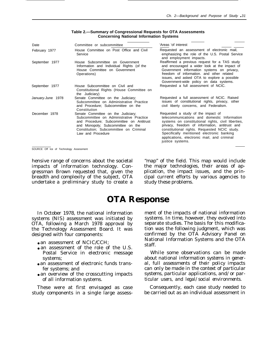| Date              | Committee or subcommittee                                                                                                                                                                                                     | 'Areas 'of interest                                                                                                                                                                                                                                                                                                                                       |
|-------------------|-------------------------------------------------------------------------------------------------------------------------------------------------------------------------------------------------------------------------------|-----------------------------------------------------------------------------------------------------------------------------------------------------------------------------------------------------------------------------------------------------------------------------------------------------------------------------------------------------------|
| February 1977     | House Committee on Post Office and Civil<br>Service                                                                                                                                                                           | Requested an assessment of electronic mail,<br>emphasizing the role of the U.S. Postal Service<br>and employment impacts.                                                                                                                                                                                                                                 |
| September 1977    | House Subcommittee on Government<br>Information and Individual Rights (of the<br>House Committee on Government<br>Operations)                                                                                                 | Reaffirmed a previous request for a TAS study<br>and encouraged a wider look at the impact of<br>Government information systems on privacy,<br>freedom of information, and other related<br>issues, and asked OTA to explore a possible<br>Government-wide policy on data systems.                                                                        |
| September 1977    | House Subcommittee on Civil and<br>Constitutional Rights (House Committee on<br>the Judiciary)                                                                                                                                | Requested a full assessment of NCIC.                                                                                                                                                                                                                                                                                                                      |
| January-June 1978 | Senate Committee on the Judiciary;<br>Subcommittee on Administrative Practice<br>and Procedure; Subcommittee on the<br>Constitution                                                                                           | Requested a full assessment of NCIC. Raised<br>issues of constitutional rights, privacy, other<br>civil liberty concerns, and Federalism.                                                                                                                                                                                                                 |
| December 1978     | Senate Committee on the Judiciary;<br>Subcommittee on Administrative Practice<br>and Procedure; Subcommittee on Antitrust<br>and Monopoly; Subcommittee on the<br>Constitution; Subcommittee on Criminal<br>Law and Procedure | Requested a study of the impact of<br>telecommunications and domestic Information<br>systems on constitutional rights, civil liberties,<br>privacy, freedom of information, antitrust and<br>constitutional rights. Requested NCIC study.<br>Specifically mentioned electronic banking<br>applications, electronic mail, and criminal<br>justice systems. |

**Table 2.—Summary of Congressional Requests for OTA Assessments Concerning National Information Systems**

. .

SOURCE Off Ice of Technology Assessment

impacts of information technology. Con- the major technologies, their areas of apgressman Brown requested that, given the plication, the impact issues, and the prinbreadth and complexity of the subject, OTA undertake a preliminary study to create a study these problems.

hensive range of concerns about the societal "map" of the field. This map would include cipal current efforts by various agencies to

### **OTA Response**

In October 1978, the national information systems (NIS) assessment was initiated by OTA, following a March 1978 approval by the Technology Assessment Board. It was designed with four components:

- $\bullet$  an assessment of NCIC/CCH:
- an assessment of the role of the U.S. Postal Service in electronic message systems;
- an assessment of electronic funds transfer systems; and
- an overview of the crosscutting impacts of all information systems.

These were at first envisaged as case study components in a single large assessment of the impacts of national information systems. In time, however, they evolved into separate studies. The basis for this modification was the following judgment, which was confirmed by the OTA Advisory Panel on National Information Systems and the OTA staff.

*While some observations can be made about national information systems in general, full assessments of their policy impacts can only be made in the context of particular systems, particular applications, and/or particular users, and legal/social environments.*

Consequently, each case study needed to be carried out as an individual assessment in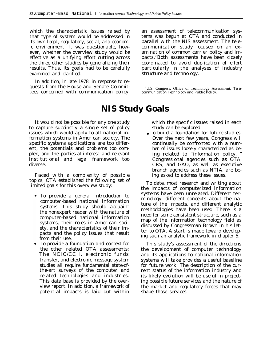which the characteristic issues raised by that type of system would be addressed in its own legal, regulatory, social, and economic environment. It was questionable, however, whether the overview study would be effective as a unifying effort cutting across the three other studies by generalizing their results. Thus, its goals had to be carefully examined and clarified.

In addition, in late 1978, in response to requests from the House and Senate Committees concerned with communication policy, an assessment of telecommunication systems was begun at OTA and conducted in parallel with the NIS assessment. The telecommunication study focused on an examination of common carrier policy and impacts. <sup>3</sup>Both assessments have been closely coordinated to avoid duplication of effort particularly in the analyses of industry structure and technology.

<sup>3</sup>U.S. Congress, Office of Technology Assessment, *Telecommunication Technology and Public Policy.*

### **NIS Study Goals**

It would not be possible for any one study to capture succinctly a single set of policy issues which would apply to all national information systems in American society. The specific systems applications are too different, the potentials and problems too complex, and the parties-at-interest and relevant institutional and legal framework too diverse.

Faced with a complexity of possible topics, OTA established the following set of limited goals for this overview study:

- *To provide a general introduction to computer-based national information systems:* This study should acquaint the nonexpert reader with the nature of computer-based national information systems, their roles in American society, and the characteristics of their impacts and the policy issues that result from their use,
- *To provide a foundation and context for the other related OTA assessments:* The NCIC/CCH, electronic funds transfer, and electronic message system studies all require fundamental state-ofthe-art surveys of the computer and related technologies and industries. This data base is provided by the overview report. In addition, a framework of potential impacts is laid out within

which the specific issues raised in each study can be explored.

● *To build a foundation for future studies:* Over the next few years, Congress will continually be confronted with a number of issues loosely characterized as being related to "information policy. " Congressional agencies such as OTA, CRS, and GAO, as well as executive branch agencies such as NTIA, are being asked to address these issues.

To date, most research and writing about the impacts of computerized information systems have been unrelated. Different terminology, different concepts about the nature of the impacts, and different analytic methodologies have been used. There is a need for some consistent structure, such as a map of the information technology field as discussed by Congressman Brown in his letter to OTA. A start is made toward developing such an analytic framework in chapter 5.

This study's assessment of the directions the development of computer technology and its applications to national information systems will take provides a useful baseline for future work. The description of the current status of the information industry and its likely evolution will be useful in projecting possible future services and the nature of the market and regulatory forces that may shape those services.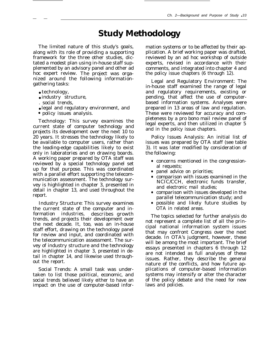### **Study Methodology**

The limited nature of this study's goals, along with its role of providing a supporting framework for the three other studies, dictated a modest plan using in-house staff supplemented by an advisory panel and other ad hoc expert review. The project was organized around the following informationgathering tasks:

• technology,

— —

- industry structure,
- social trends,
- legal and regulatory environment, and
- policy issues analysis.

Technology: This survey examines the current state of computer technology and projects its development over the next 10 to 20 years. It stresses the technology likely to be available to computer users, rather than the leading-edge capabilities likely to exist only in laboratories and on drawing boards. A working paper prepared by OTA staff was reviewed by a special technology panel set up for that purpose. This was coordinated with a parallel effort supporting the telecommunication assessment. The technology survey is highlighted in chapter 3, presented in detail in chapter 13, and used throughout the report.

Industry Structure: This survey examines the current state of the computer and information industries, describes growth trends, and projects their development over the next decade. It, too, was an in-house staff effort, drawing on the technology panel for review and input, and coordinated with the telecommunication assessment. The survey of industry structure and the technology are highlighted in chapter 3, presented in detail in chapter 14, and likewise used throughout the report.

Social Trends: A small task was undertaken to list those political, economic, and social trends believed likely either to have an impact on the use of computer-based information systems or to be affected by their application. A brief working paper was drafted, reviewed by an ad hoc workshop of outside experts, revised in accordance with their comments, and integrated into chapter 4 and the policy issue chapters (6 through 12).

Legal and Regulatory Environment: The in-house staff examined the range of legal and regulatory requirements, existing or pending, that affect the use of computerbased information systems. Analyses were prepared in 13 areas of law and regulation. These were reviewed for accuracy and completeness by a pro bono mail review panel of legal experts, and then utilized in chapter 5 and in the policy issue chapters.

Policy Issues Analysis: An initial list of issues was prepared by OTA staff (see table 3). It was later modified by consideration of the following:

- concerns mentioned in the congressional requests;
- panel advice on priorities;
- comparison with issues examined in the NCIC/CCH, electronic funds transfer, and electronic mail studies;
- comparison with issues developed in the parallel telecommunication study; and
- possible and likely future studies by OTA in related areas.

The topics selected for further analysis do not represent a complete list of all the principal national information system issues that may confront Congress over the next decade. In OTA's judgment, however, these will be among the most important. The brief essays presented in chapters 6 through 12 are not intended as full analyses of these issues. Rather, they describe the general nature of the conflicts, and how future applications of computer-based information systems may intensify or alter the character of the policy debate and the need for new laws and policies.